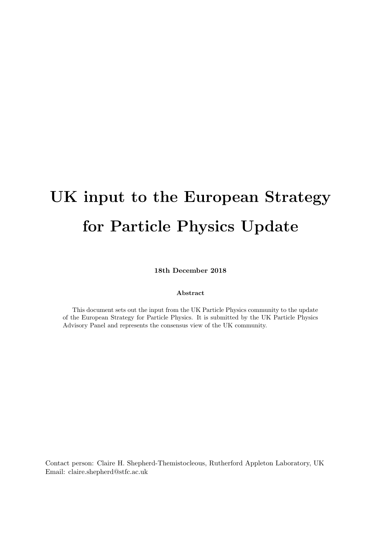# UK input to the European Strategy for Particle Physics Update

18th December 2018

#### Abstract

This document sets out the input from the UK Particle Physics community to the update of the European Strategy for Particle Physics. It is submitted by the UK Particle Physics Advisory Panel and represents the consensus view of the UK community.

Contact person: Claire H. Shepherd-Themistocleous, Rutherford Appleton Laboratory, UK Email: claire.shepherd@stfc.ac.uk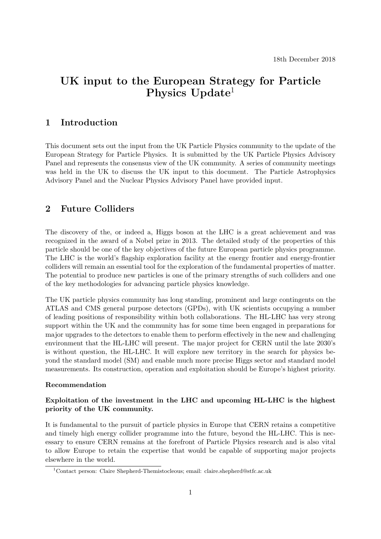# UK input to the European Strategy for Particle Physics Update<sup>1</sup>

# 1 Introduction

This document sets out the input from the UK Particle Physics community to the update of the European Strategy for Particle Physics. It is submitted by the UK Particle Physics Advisory Panel and represents the consensus view of the UK community. A series of community meetings was held in the UK to discuss the UK input to this document. The Particle Astrophysics Advisory Panel and the Nuclear Physics Advisory Panel have provided input.

# 2 Future Colliders

The discovery of the, or indeed a, Higgs boson at the LHC is a great achievement and was recognized in the award of a Nobel prize in 2013. The detailed study of the properties of this particle should be one of the key objectives of the future European particle physics programme. The LHC is the world's flagship exploration facility at the energy frontier and energy-frontier colliders will remain an essential tool for the exploration of the fundamental properties of matter. The potential to produce new particles is one of the primary strengths of such colliders and one of the key methodologies for advancing particle physics knowledge.

The UK particle physics community has long standing, prominent and large contingents on the ATLAS and CMS general purpose detectors (GPDs), with UK scientists occupying a number of leading positions of responsibility within both collaborations. The HL-LHC has very strong support within the UK and the community has for some time been engaged in preparations for major upgrades to the detectors to enable them to perform effectively in the new and challenging environment that the HL-LHC will present. The major project for CERN until the late 2030's is without question, the HL-LHC. It will explore new territory in the search for physics beyond the standard model (SM) and enable much more precise Higgs sector and standard model measurements. Its construction, operation and exploitation should be Europe's highest priority.

#### Recommendation

## Exploitation of the investment in the LHC and upcoming HL-LHC is the highest priority of the UK community.

It is fundamental to the pursuit of particle physics in Europe that CERN retains a competitive and timely high energy collider programme into the future, beyond the HL-LHC. This is necessary to ensure CERN remains at the forefront of Particle Physics research and is also vital to allow Europe to retain the expertise that would be capable of supporting major projects elsewhere in the world.

<sup>1</sup>Contact person: Claire Shepherd-Themistocleous; email: claire.shepherd@stfc.ac.uk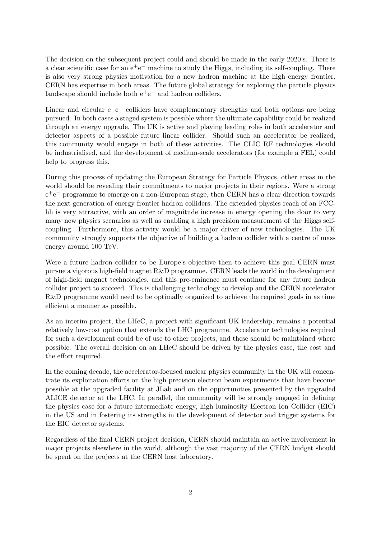The decision on the subsequent project could and should be made in the early 2020's. There is a clear scientific case for an  $e^+e^-$  machine to study the Higgs, including its self-coupling. There is also very strong physics motivation for a new hadron machine at the high energy frontier. CERN has expertise in both areas. The future global strategy for exploring the particle physics landscape should include both  $e^+e^-$  and hadron colliders.

Linear and circular  $e^+e^-$  colliders have complementary strengths and both options are being pursued. In both cases a staged system is possible where the ultimate capability could be realized through an energy upgrade. The UK is active and playing leading roles in both accelerator and detector aspects of a possible future linear collider. Should such an accelerator be realized, this community would engage in both of these activities. The CLIC RF technologies should be industrialised, and the development of medium-scale accelerators (for example a FEL) could help to progress this.

During this process of updating the European Strategy for Particle Physics, other areas in the world should be revealing their commitments to major projects in their regions. Were a strong e +e <sup>−</sup> programme to emerge on a non-European stage, then CERN has a clear direction towards the next generation of energy frontier hadron colliders. The extended physics reach of an FCChh is very attractive, with an order of magnitude increase in energy opening the door to very many new physics scenarios as well as enabling a high precision measurement of the Higgs selfcoupling. Furthermore, this activity would be a major driver of new technologies. The UK community strongly supports the objective of building a hadron collider with a centre of mass energy around 100 TeV.

Were a future hadron collider to be Europe's objective then to achieve this goal CERN must pursue a vigorous high-field magnet R&D programme. CERN leads the world in the development of high-field magnet technologies, and this pre-eminence must continue for any future hadron collider project to succeed. This is challenging technology to develop and the CERN accelerator R&D programme would need to be optimally organized to achieve the required goals in as time efficient a manner as possible.

As an interim project, the LHeC, a project with significant UK leadership, remains a potential relatively low-cost option that extends the LHC programme. Accelerator technologies required for such a development could be of use to other projects, and these should be maintained where possible. The overall decision on an LHeC should be driven by the physics case, the cost and the effort required.

In the coming decade, the accelerator-focused nuclear physics community in the UK will concentrate its exploitation efforts on the high precision electron beam experiments that have become possible at the upgraded facility at JLab and on the opportunities presented by the upgraded ALICE detector at the LHC. In parallel, the community will be strongly engaged in defining the physics case for a future intermediate energy, high luminosity Electron Ion Collider (EIC) in the US and in fostering its strengths in the development of detector and trigger systems for the EIC detector systems.

Regardless of the final CERN project decision, CERN should maintain an active involvement in major projects elsewhere in the world, although the vast majority of the CERN budget should be spent on the projects at the CERN host laboratory.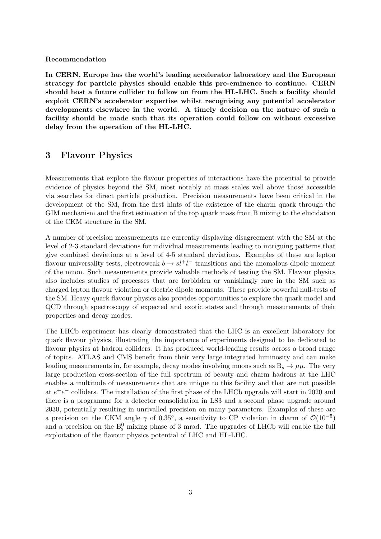#### Recommendation

In CERN, Europe has the world's leading accelerator laboratory and the European strategy for particle physics should enable this pre-eminence to continue. CERN should host a future collider to follow on from the HL-LHC. Such a facility should exploit CERN's accelerator expertise whilst recognising any potential accelerator developments elsewhere in the world. A timely decision on the nature of such a facility should be made such that its operation could follow on without excessive delay from the operation of the HL-LHC.

## 3 Flavour Physics

Measurements that explore the flavour properties of interactions have the potential to provide evidence of physics beyond the SM, most notably at mass scales well above those accessible via searches for direct particle production. Precision measurements have been critical in the development of the SM, from the first hints of the existence of the charm quark through the GIM mechanism and the first estimation of the top quark mass from B mixing to the elucidation of the CKM structure in the SM.

A number of precision measurements are currently displaying disagreement with the SM at the level of 2-3 standard deviations for individual measurements leading to intriguing patterns that give combined deviations at a level of 4-5 standard deviations. Examples of these are lepton flavour universality tests, electroweak  $b \to s l^+ l^-$  transitions and the anomalous dipole moment of the muon. Such measurements provide valuable methods of testing the SM. Flavour physics also includes studies of processes that are forbidden or vanishingly rare in the SM such as charged lepton flavour violation or electric dipole moments. These provide powerful null-tests of the SM. Heavy quark flavour physics also provides opportunities to explore the quark model and QCD through spectroscopy of expected and exotic states and through measurements of their properties and decay modes.

The LHCb experiment has clearly demonstrated that the LHC is an excellent laboratory for quark flavour physics, illustrating the importance of experiments designed to be dedicated to flavour physics at hadron colliders. It has produced world-leading results across a broad range of topics. ATLAS and CMS benefit from their very large integrated luminosity and can make leading measurements in, for example, decay modes involving muons such as  $B_s \to \mu\mu$ . The very large production cross-section of the full spectrum of beauty and charm hadrons at the LHC enables a multitude of measurements that are unique to this facility and that are not possible at  $e^+e^-$  colliders. The installation of the first phase of the LHCb upgrade will start in 2020 and there is a programme for a detector consolidation in LS3 and a second phase upgrade around 2030, potentially resulting in unrivalled precision on many parameters. Examples of these are a precision on the CKM angle  $\gamma$  of 0.35°, a sensitivity to CP violation in charm of  $\mathcal{O}(10^{-5})$ and a precision on the  $B_s^0$  mixing phase of 3 mrad. The upgrades of LHCb will enable the full exploitation of the flavour physics potential of LHC and HL-LHC.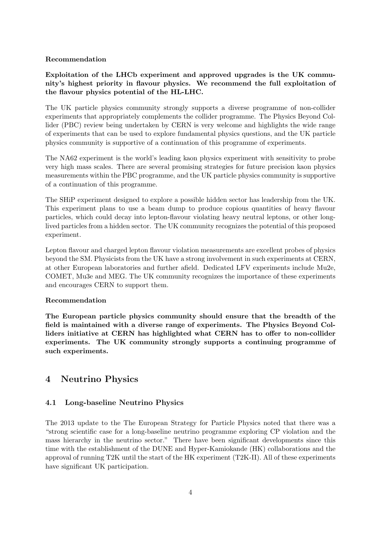## Recommendation

## Exploitation of the LHCb experiment and approved upgrades is the UK community's highest priority in flavour physics. We recommend the full exploitation of the flavour physics potential of the HL-LHC.

The UK particle physics community strongly supports a diverse programme of non-collider experiments that appropriately complements the collider programme. The Physics Beyond Collider (PBC) review being undertaken by CERN is very welcome and highlights the wide range of experiments that can be used to explore fundamental physics questions, and the UK particle physics community is supportive of a continuation of this programme of experiments.

The NA62 experiment is the world's leading kaon physics experiment with sensitivity to probe very high mass scales. There are several promising strategies for future precision kaon physics measurements within the PBC programme, and the UK particle physics community is supportive of a continuation of this programme.

The SHiP experiment designed to explore a possible hidden sector has leadership from the UK. This experiment plans to use a beam dump to produce copious quantities of heavy flavour particles, which could decay into lepton-flavour violating heavy neutral leptons, or other longlived particles from a hidden sector. The UK community recognizes the potential of this proposed experiment.

Lepton flavour and charged lepton flavour violation measurements are excellent probes of physics beyond the SM. Physicists from the UK have a strong involvement in such experiments at CERN, at other European laboratories and further afield. Dedicated LFV experiments include Mu2e, COMET, Mu3e and MEG. The UK community recognizes the importance of these experiments and encourages CERN to support them.

## Recommendation

The European particle physics community should ensure that the breadth of the field is maintained with a diverse range of experiments. The Physics Beyond Colliders initiative at CERN has highlighted what CERN has to offer to non-collider experiments. The UK community strongly supports a continuing programme of such experiments.

# 4 Neutrino Physics

## 4.1 Long-baseline Neutrino Physics

The 2013 update to the The European Strategy for Particle Physics noted that there was a "strong scientific case for a long-baseline neutrino programme exploring CP violation and the mass hierarchy in the neutrino sector." There have been significant developments since this time with the establishment of the DUNE and Hyper-Kamiokande (HK) collaborations and the approval of running T2K until the start of the HK experiment (T2K-II). All of these experiments have significant UK participation.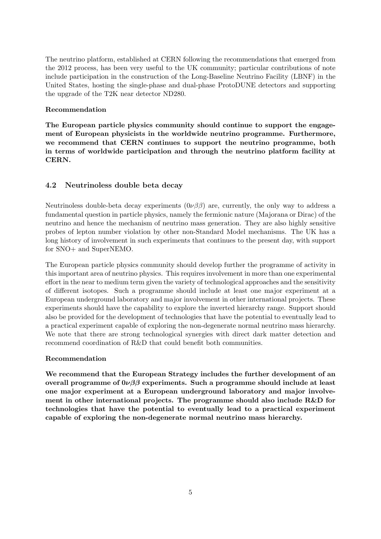The neutrino platform, established at CERN following the recommendations that emerged from the 2012 process, has been very useful to the UK community; particular contributions of note include participation in the construction of the Long-Baseline Neutrino Facility (LBNF) in the United States, hosting the single-phase and dual-phase ProtoDUNE detectors and supporting the upgrade of the T2K near detector ND280.

#### Recommendation

The European particle physics community should continue to support the engagement of European physicists in the worldwide neutrino programme. Furthermore, we recommend that CERN continues to support the neutrino programme, both in terms of worldwide participation and through the neutrino platform facility at CERN.

## 4.2 Neutrinoless double beta decay

Neutrinoless double-beta decay experiments  $(0\nu\beta\beta)$  are, currently, the only way to address a fundamental question in particle physics, namely the fermionic nature (Majorana or Dirac) of the neutrino and hence the mechanism of neutrino mass generation. They are also highly sensitive probes of lepton number violation by other non-Standard Model mechanisms. The UK has a long history of involvement in such experiments that continues to the present day, with support for SNO+ and SuperNEMO.

The European particle physics community should develop further the programme of activity in this important area of neutrino physics. This requires involvement in more than one experimental effort in the near to medium term given the variety of technological approaches and the sensitivity of different isotopes. Such a programme should include at least one major experiment at a European underground laboratory and major involvement in other international projects. These experiments should have the capability to explore the inverted hierarchy range. Support should also be provided for the development of technologies that have the potential to eventually lead to a practical experiment capable of exploring the non-degenerate normal neutrino mass hierarchy. We note that there are strong technological synergies with direct dark matter detection and recommend coordination of R&D that could benefit both communities.

## Recommendation

We recommend that the European Strategy includes the further development of an overall programme of  $0\nu\beta\beta$  experiments. Such a programme should include at least one major experiment at a European underground laboratory and major involvement in other international projects. The programme should also include R&D for technologies that have the potential to eventually lead to a practical experiment capable of exploring the non-degenerate normal neutrino mass hierarchy.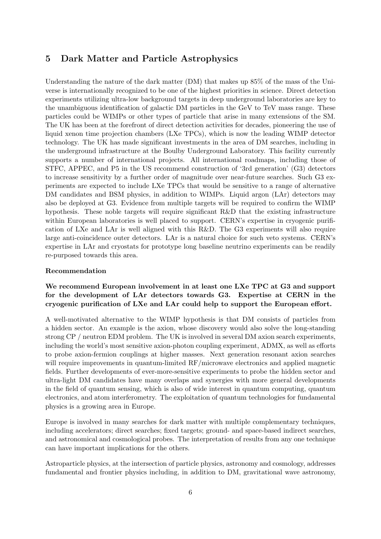# 5 Dark Matter and Particle Astrophysics

Understanding the nature of the dark matter (DM) that makes up 85% of the mass of the Universe is internationally recognized to be one of the highest priorities in science. Direct detection experiments utilizing ultra-low background targets in deep underground laboratories are key to the unambiguous identification of galactic DM particles in the GeV to TeV mass range. These particles could be WIMPs or other types of particle that arise in many extensions of the SM. The UK has been at the forefront of direct detection activities for decades, pioneering the use of liquid xenon time projection chambers (LXe TPCs), which is now the leading WIMP detector technology. The UK has made significant investments in the area of DM searches, including in the underground infrastructure at the Boulby Underground Laboratory. This facility currently supports a number of international projects. All international roadmaps, including those of STFC, APPEC, and P5 in the US recommend construction of '3rd generation' (G3) detectors to increase sensitivity by a further order of magnitude over near-future searches. Such G3 experiments are expected to include LXe TPCs that would be sensitive to a range of alternative DM candidates and BSM physics, in addition to WIMPs. Liquid argon (LAr) detectors may also be deployed at G3. Evidence from multiple targets will be required to confirm the WIMP hypothesis. These noble targets will require significant R&D that the existing infrastructure within European laboratories is well placed to support. CERN's expertise in cryogenic purification of LXe and LAr is well aligned with this R&D. The G3 experiments will also require large anti-coincidence outer detectors. LAr is a natural choice for such veto systems. CERN's expertise in LAr and cryostats for prototype long baseline neutrino experiments can be readily re-purposed towards this area.

#### Recommendation

## We recommend European involvement in at least one LXe TPC at G3 and support for the development of LAr detectors towards G3. Expertise at CERN in the cryogenic purification of LXe and LAr could help to support the European effort.

A well-motivated alternative to the WIMP hypothesis is that DM consists of particles from a hidden sector. An example is the axion, whose discovery would also solve the long-standing strong CP / neutron EDM problem. The UK is involved in several DM axion search experiments, including the world's most sensitive axion-photon coupling experiment, ADMX, as well as efforts to probe axion-fermion couplings at higher masses. Next generation resonant axion searches will require improvements in quantum-limited RF/microwave electronics and applied magnetic fields. Further developments of ever-more-sensitive experiments to probe the hidden sector and ultra-light DM candidates have many overlaps and synergies with more general developments in the field of quantum sensing, which is also of wide interest in quantum computing, quantum electronics, and atom interferometry. The exploitation of quantum technologies for fundamental physics is a growing area in Europe.

Europe is involved in many searches for dark matter with multiple complementary techniques, including accelerators; direct searches; fixed targets; ground- and space-based indirect searches, and astronomical and cosmological probes. The interpretation of results from any one technique can have important implications for the others.

Astroparticle physics, at the intersection of particle physics, astronomy and cosmology, addresses fundamental and frontier physics including, in addition to DM, gravitational wave astronomy,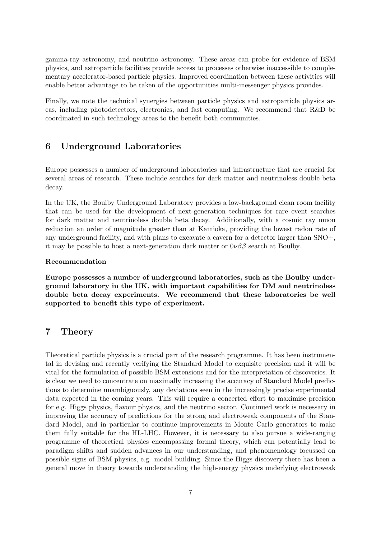gamma-ray astronomy, and neutrino astronomy. These areas can probe for evidence of BSM physics, and astroparticle facilities provide access to processes otherwise inaccessible to complementary accelerator-based particle physics. Improved coordination between these activities will enable better advantage to be taken of the opportunities multi-messenger physics provides.

Finally, we note the technical synergies between particle physics and astroparticle physics areas, including photodetectors, electronics, and fast computing. We recommend that R&D be coordinated in such technology areas to the benefit both communities.

# 6 Underground Laboratories

Europe possesses a number of underground laboratories and infrastructure that are crucial for several areas of research. These include searches for dark matter and neutrinoless double beta decay.

In the UK, the Boulby Underground Laboratory provides a low-background clean room facility that can be used for the development of next-generation techniques for rare event searches for dark matter and neutrinoless double beta decay. Additionally, with a cosmic ray muon reduction an order of magnitude greater than at Kamioka, providing the lowest radon rate of any underground facility, and with plans to excavate a cavern for a detector larger than SNO+, it may be possible to host a next-generation dark matter or  $0\nu\beta\beta$  search at Boulby.

#### Recommendation

Europe possesses a number of underground laboratories, such as the Boulby underground laboratory in the UK, with important capabilities for DM and neutrinoless double beta decay experiments. We recommend that these laboratories be well supported to benefit this type of experiment.

## 7 Theory

Theoretical particle physics is a crucial part of the research programme. It has been instrumental in devising and recently verifying the Standard Model to exquisite precision and it will be vital for the formulation of possible BSM extensions and for the interpretation of discoveries. It is clear we need to concentrate on maximally increasing the accuracy of Standard Model predictions to determine unambiguously, any deviations seen in the increasingly precise experimental data expected in the coming years. This will require a concerted effort to maximise precision for e.g. Higgs physics, flavour physics, and the neutrino sector. Continued work is necessary in improving the accuracy of predictions for the strong and electroweak components of the Standard Model, and in particular to continue improvements in Monte Carlo generators to make them fully suitable for the HL-LHC. However, it is necessary to also pursue a wide-ranging programme of theoretical physics encompassing formal theory, which can potentially lead to paradigm shifts and sudden advances in our understanding, and phenomenology focussed on possible signs of BSM physics, e.g. model building. Since the Higgs discovery there has been a general move in theory towards understanding the high-energy physics underlying electroweak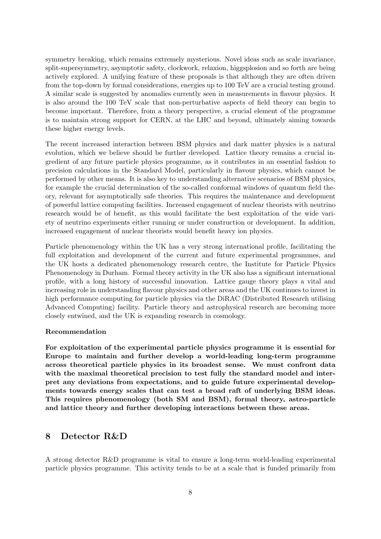symmetry breaking, which remains extremely mysterious. Novel ideas such as scale invariance, split-supersymmetry, asymptotic safety, clockwork, relaxion, higgsplosion and so forth are being actively explored. A unifying feature of these proposals is that although they are often driven from the top-down by formal considerations, energies up to 100 TeV are a crucial testing ground. A similar scale is suggested by anomalies currently seen in measurements in flavour physics. It is also around the 100 TeV scale that non-perturbative aspects of field theory can begin to become important. Therefore, from a theory perspective, a crucial element of the programme is to maintain strong support for CERN, at the LHC and beyond, ultimately aiming towards these higher energy levels.

The recent increased interaction between BSM physics and dark matter physics is a natural evolution, which we believe should be further developed. Lattice theory remains a crucial ingredient of any future particle physics programme, as it contributes in an essential fashion to precision calculations in the Standard Model, particularly in flavour physics, which cannot be performed by other means. It is also key to understanding alternative scenarios of BSM physics, for example the crucial determination of the so-called conformal windows of quantum field theory, relevant for asymptotically safe theories. This requires the maintenance and development of powerful lattice computing facilities. Increased engagement of nuclear theorists with neutrino research would be of benefit, as this would facilitate the best exploitation of the wide variety of neutrino experiments either running or under construction or development. In addition, increased engagement of nuclear theorists would benefit heavy ion physics.

Particle phenomenology within the UK has a very strong international profile, facilitating the full exploitation and development of the current and future experimental programmes, and the UK hosts a dedicated phenomenology research centre, the Institute for Particle Physics Phenomenology in Durham. Formal theory activity in the UK also has a significant international profile, with a long history of successful innovation. Lattice gauge theory plays a vital and increasing role in understanding flavour physics and other areas and the UK continues to invest in high performance computing for particle physics via the DiRAC (Distributed Research utilising Advanced Computing) facility. Particle theory and astrophysical research are becoming more closely entwined, and the UK is expanding research in cosmology.

#### Recommendation

For exploitation of the experimental particle physics programme it is essential for Europe to maintain and further develop a world-leading long-term programme across theoretical particle physics in its broadest sense. We must confront data with the maximal theoretical precision to test fully the standard model and interpret any deviations from expectations, and to guide future experimental developments towards energy scales that can test a broad raft of underlying BSM ideas. This requires phenomenology (both SM and BSM), formal theory, astro-particle and lattice theory and further developing interactions between these areas.

## 8 Detector R&D

A strong detector R&D programme is vital to ensure a long-term world-leading experimental particle physics programme. This activity tends to be at a scale that is funded primarily from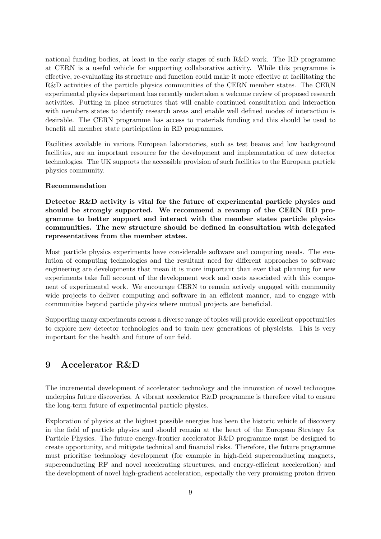national funding bodies, at least in the early stages of such R&D work. The RD programme at CERN is a useful vehicle for supporting collaborative activity. While this programme is effective, re-evaluating its structure and function could make it more effective at facilitating the R&D activities of the particle physics communities of the CERN member states. The CERN experimental physics department has recently undertaken a welcome review of proposed research activities. Putting in place structures that will enable continued consultation and interaction with members states to identify research areas and enable well defined modes of interaction is desirable. The CERN programme has access to materials funding and this should be used to benefit all member state participation in RD programmes.

Facilities available in various European laboratories, such as test beams and low background facilities, are an important resource for the development and implementation of new detector technologies. The UK supports the accessible provision of such facilities to the European particle physics community.

#### Recommendation

Detector R&D activity is vital for the future of experimental particle physics and should be strongly supported. We recommend a revamp of the CERN RD programme to better support and interact with the member states particle physics communities. The new structure should be defined in consultation with delegated representatives from the member states.

Most particle physics experiments have considerable software and computing needs. The evolution of computing technologies and the resultant need for different approaches to software engineering are developments that mean it is more important than ever that planning for new experiments take full account of the development work and costs associated with this component of experimental work. We encourage CERN to remain actively engaged with community wide projects to deliver computing and software in an efficient manner, and to engage with communities beyond particle physics where mutual projects are beneficial.

Supporting many experiments across a diverse range of topics will provide excellent opportunities to explore new detector technologies and to train new generations of physicists. This is very important for the health and future of our field.

# 9 Accelerator R&D

The incremental development of accelerator technology and the innovation of novel techniques underpins future discoveries. A vibrant accelerator R&D programme is therefore vital to ensure the long-term future of experimental particle physics.

Exploration of physics at the highest possible energies has been the historic vehicle of discovery in the field of particle physics and should remain at the heart of the European Strategy for Particle Physics. The future energy-frontier accelerator R&D programme must be designed to create opportunity, and mitigate technical and financial risks. Therefore, the future programme must prioritise technology development (for example in high-field superconducting magnets, superconducting RF and novel accelerating structures, and energy-efficient acceleration) and the development of novel high-gradient acceleration, especially the very promising proton driven